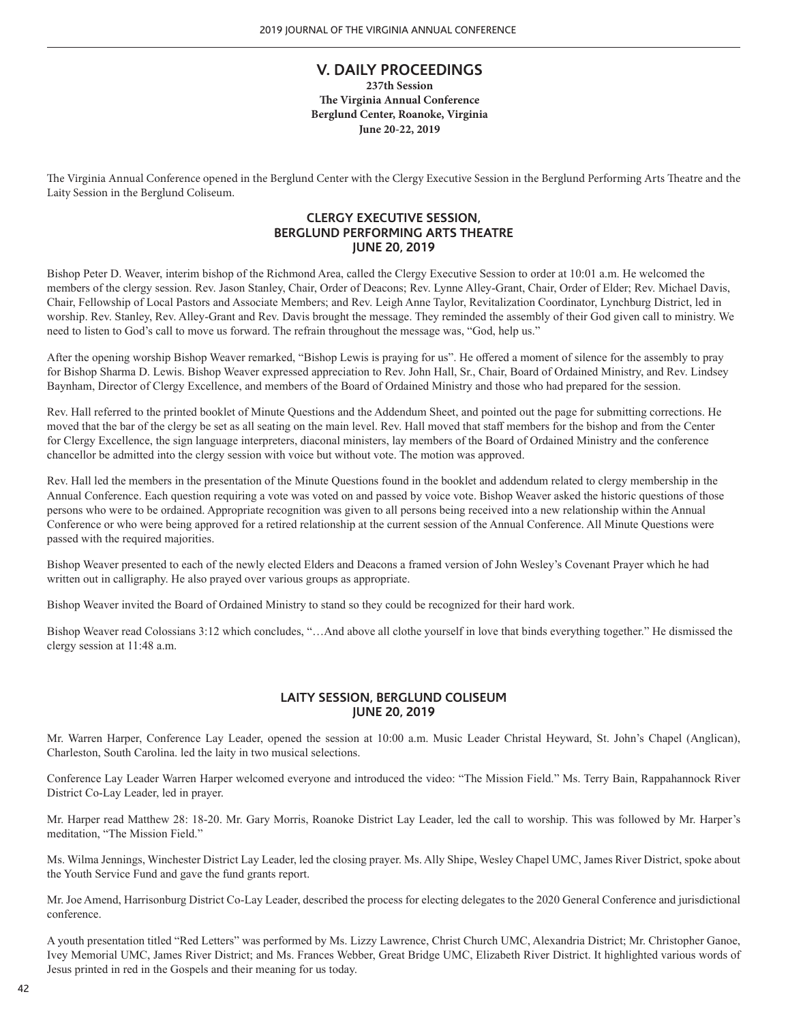# **V. DAILY PROCEEDINGS**

**237th Session The Virginia Annual Conference Berglund Center, Roanoke, Virginia June 20-22, 2019**

The Virginia Annual Conference opened in the Berglund Center with the Clergy Executive Session in the Berglund Performing Arts Theatre and the Laity Session in the Berglund Coliseum.

# **CLERGY EXECUTIVE SESSION, BERGLUND PERFORMING ARTS THEATRE JUNE 20, 2019**

Bishop Peter D. Weaver, interim bishop of the Richmond Area, called the Clergy Executive Session to order at 10:01 a.m. He welcomed the members of the clergy session. Rev. Jason Stanley, Chair, Order of Deacons; Rev. Lynne Alley-Grant, Chair, Order of Elder; Rev. Michael Davis, Chair, Fellowship of Local Pastors and Associate Members; and Rev. Leigh Anne Taylor, Revitalization Coordinator, Lynchburg District, led in worship. Rev. Stanley, Rev. Alley-Grant and Rev. Davis brought the message. They reminded the assembly of their God given call to ministry. We need to listen to God's call to move us forward. The refrain throughout the message was, "God, help us."

After the opening worship Bishop Weaver remarked, "Bishop Lewis is praying for us". He offered a moment of silence for the assembly to pray for Bishop Sharma D. Lewis. Bishop Weaver expressed appreciation to Rev. John Hall, Sr., Chair, Board of Ordained Ministry, and Rev. Lindsey Baynham, Director of Clergy Excellence, and members of the Board of Ordained Ministry and those who had prepared for the session.

Rev. Hall referred to the printed booklet of Minute Questions and the Addendum Sheet, and pointed out the page for submitting corrections. He moved that the bar of the clergy be set as all seating on the main level. Rev. Hall moved that staff members for the bishop and from the Center for Clergy Excellence, the sign language interpreters, diaconal ministers, lay members of the Board of Ordained Ministry and the conference chancellor be admitted into the clergy session with voice but without vote. The motion was approved.

Rev. Hall led the members in the presentation of the Minute Questions found in the booklet and addendum related to clergy membership in the Annual Conference. Each question requiring a vote was voted on and passed by voice vote. Bishop Weaver asked the historic questions of those persons who were to be ordained. Appropriate recognition was given to all persons being received into a new relationship within the Annual Conference or who were being approved for a retired relationship at the current session of the Annual Conference. All Minute Questions were passed with the required majorities.

Bishop Weaver presented to each of the newly elected Elders and Deacons a framed version of John Wesley's Covenant Prayer which he had written out in calligraphy. He also prayed over various groups as appropriate.

Bishop Weaver invited the Board of Ordained Ministry to stand so they could be recognized for their hard work.

Bishop Weaver read Colossians 3:12 which concludes, "…And above all clothe yourself in love that binds everything together." He dismissed the clergy session at 11:48 a.m.

# **LAITY SESSION, BERGLUND COLISEUM JUNE 20, 2019**

Mr. Warren Harper, Conference Lay Leader, opened the session at 10:00 a.m. Music Leader Christal Heyward, St. John's Chapel (Anglican), Charleston, South Carolina. led the laity in two musical selections.

Conference Lay Leader Warren Harper welcomed everyone and introduced the video: "The Mission Field." Ms. Terry Bain, Rappahannock River District Co-Lay Leader, led in prayer.

Mr. Harper read Matthew 28: 18-20. Mr. Gary Morris, Roanoke District Lay Leader, led the call to worship. This was followed by Mr. Harper's meditation, "The Mission Field."

Ms. Wilma Jennings, Winchester District Lay Leader, led the closing prayer. Ms. Ally Shipe, Wesley Chapel UMC, James River District, spoke about the Youth Service Fund and gave the fund grants report.

Mr. Joe Amend, Harrisonburg District Co-Lay Leader, described the process for electing delegates to the 2020 General Conference and jurisdictional conference.

A youth presentation titled "Red Letters" was performed by Ms. Lizzy Lawrence, Christ Church UMC, Alexandria District; Mr. Christopher Ganoe, Ivey Memorial UMC, James River District; and Ms. Frances Webber, Great Bridge UMC, Elizabeth River District. It highlighted various words of Jesus printed in red in the Gospels and their meaning for us today.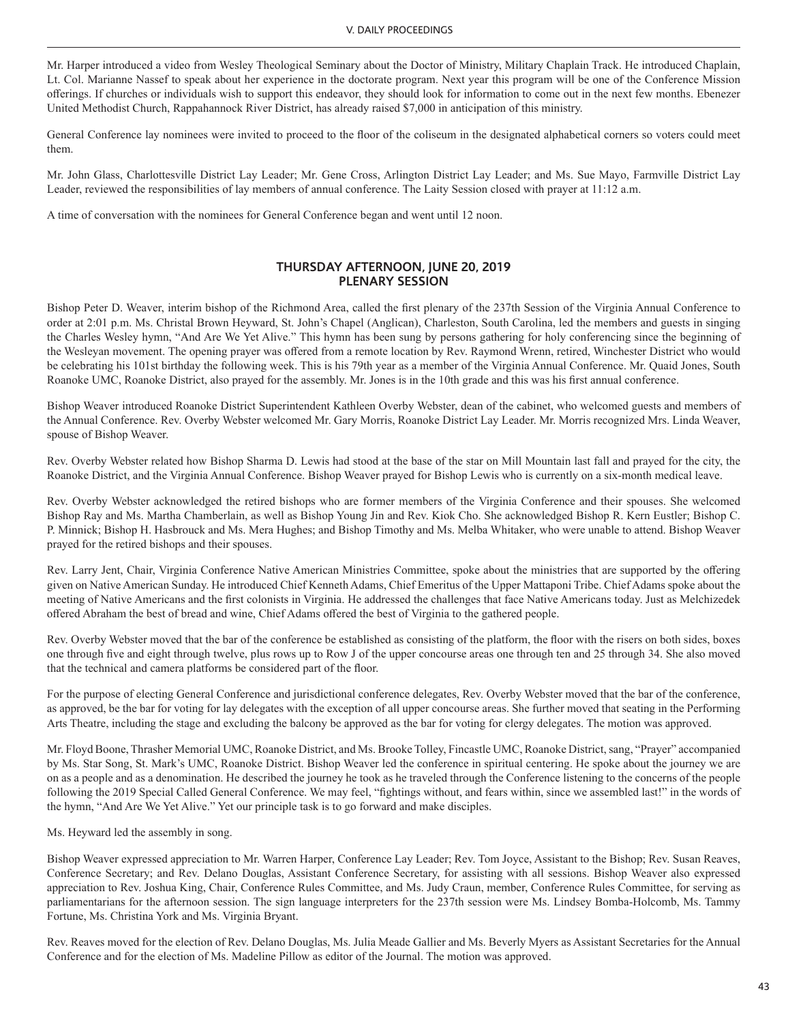Mr. Harper introduced a video from Wesley Theological Seminary about the Doctor of Ministry, Military Chaplain Track. He introduced Chaplain, Lt. Col. Marianne Nassef to speak about her experience in the doctorate program. Next year this program will be one of the Conference Mission offerings. If churches or individuals wish to support this endeavor, they should look for information to come out in the next few months. Ebenezer United Methodist Church, Rappahannock River District, has already raised \$7,000 in anticipation of this ministry.

General Conference lay nominees were invited to proceed to the floor of the coliseum in the designated alphabetical corners so voters could meet them.

Mr. John Glass, Charlottesville District Lay Leader; Mr. Gene Cross, Arlington District Lay Leader; and Ms. Sue Mayo, Farmville District Lay Leader, reviewed the responsibilities of lay members of annual conference. The Laity Session closed with prayer at 11:12 a.m.

A time of conversation with the nominees for General Conference began and went until 12 noon.

### **THURSDAY AFTERNOON, JUNE 20, 2019 PLENARY SESSION**

Bishop Peter D. Weaver, interim bishop of the Richmond Area, called the first plenary of the 237th Session of the Virginia Annual Conference to order at 2:01 p.m. Ms. Christal Brown Heyward, St. John's Chapel (Anglican), Charleston, South Carolina, led the members and guests in singing the Charles Wesley hymn, "And Are We Yet Alive." This hymn has been sung by persons gathering for holy conferencing since the beginning of the Wesleyan movement. The opening prayer was offered from a remote location by Rev. Raymond Wrenn, retired, Winchester District who would be celebrating his 101st birthday the following week. This is his 79th year as a member of the Virginia Annual Conference. Mr. Quaid Jones, South Roanoke UMC, Roanoke District, also prayed for the assembly. Mr. Jones is in the 10th grade and this was his first annual conference.

Bishop Weaver introduced Roanoke District Superintendent Kathleen Overby Webster, dean of the cabinet, who welcomed guests and members of the Annual Conference. Rev. Overby Webster welcomed Mr. Gary Morris, Roanoke District Lay Leader. Mr. Morris recognized Mrs. Linda Weaver, spouse of Bishop Weaver.

Rev. Overby Webster related how Bishop Sharma D. Lewis had stood at the base of the star on Mill Mountain last fall and prayed for the city, the Roanoke District, and the Virginia Annual Conference. Bishop Weaver prayed for Bishop Lewis who is currently on a six-month medical leave.

Rev. Overby Webster acknowledged the retired bishops who are former members of the Virginia Conference and their spouses. She welcomed Bishop Ray and Ms. Martha Chamberlain, as well as Bishop Young Jin and Rev. Kiok Cho. She acknowledged Bishop R. Kern Eustler; Bishop C. P. Minnick; Bishop H. Hasbrouck and Ms. Mera Hughes; and Bishop Timothy and Ms. Melba Whitaker, who were unable to attend. Bishop Weaver prayed for the retired bishops and their spouses.

Rev. Larry Jent, Chair, Virginia Conference Native American Ministries Committee, spoke about the ministries that are supported by the offering given on Native American Sunday. He introduced Chief Kenneth Adams, Chief Emeritus of the Upper Mattaponi Tribe. Chief Adams spoke about the meeting of Native Americans and the first colonists in Virginia. He addressed the challenges that face Native Americans today. Just as Melchizedek offered Abraham the best of bread and wine, Chief Adams offered the best of Virginia to the gathered people.

Rev. Overby Webster moved that the bar of the conference be established as consisting of the platform, the floor with the risers on both sides, boxes one through five and eight through twelve, plus rows up to Row J of the upper concourse areas one through ten and 25 through 34. She also moved that the technical and camera platforms be considered part of the floor.

For the purpose of electing General Conference and jurisdictional conference delegates, Rev. Overby Webster moved that the bar of the conference, as approved, be the bar for voting for lay delegates with the exception of all upper concourse areas. She further moved that seating in the Performing Arts Theatre, including the stage and excluding the balcony be approved as the bar for voting for clergy delegates. The motion was approved.

Mr. Floyd Boone, Thrasher Memorial UMC, Roanoke District, and Ms. Brooke Tolley, Fincastle UMC, Roanoke District, sang, "Prayer" accompanied by Ms. Star Song, St. Mark's UMC, Roanoke District. Bishop Weaver led the conference in spiritual centering. He spoke about the journey we are on as a people and as a denomination. He described the journey he took as he traveled through the Conference listening to the concerns of the people following the 2019 Special Called General Conference. We may feel, "fightings without, and fears within, since we assembled last!" in the words of the hymn, "And Are We Yet Alive." Yet our principle task is to go forward and make disciples.

Ms. Heyward led the assembly in song.

Bishop Weaver expressed appreciation to Mr. Warren Harper, Conference Lay Leader; Rev. Tom Joyce, Assistant to the Bishop; Rev. Susan Reaves, Conference Secretary; and Rev. Delano Douglas, Assistant Conference Secretary, for assisting with all sessions. Bishop Weaver also expressed appreciation to Rev. Joshua King, Chair, Conference Rules Committee, and Ms. Judy Craun, member, Conference Rules Committee, for serving as parliamentarians for the afternoon session. The sign language interpreters for the 237th session were Ms. Lindsey Bomba-Holcomb, Ms. Tammy Fortune, Ms. Christina York and Ms. Virginia Bryant.

Rev. Reaves moved for the election of Rev. Delano Douglas, Ms. Julia Meade Gallier and Ms. Beverly Myers as Assistant Secretaries for the Annual Conference and for the election of Ms. Madeline Pillow as editor of the Journal. The motion was approved.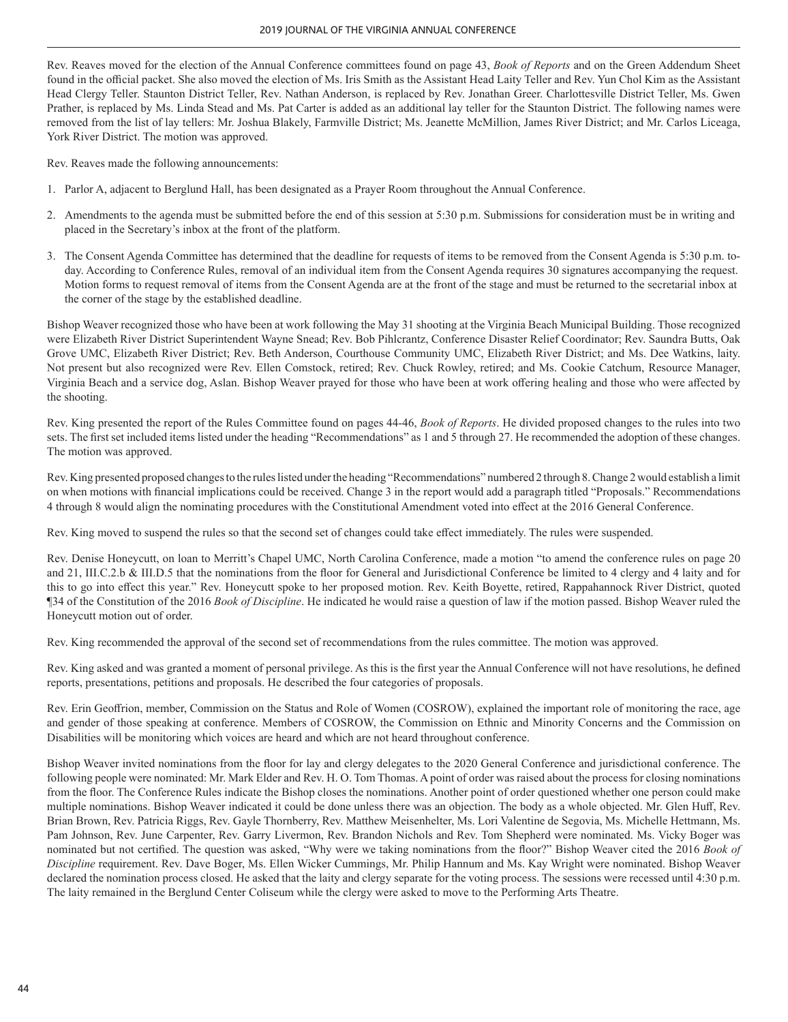Rev. Reaves moved for the election of the Annual Conference committees found on page 43, *Book of Reports* and on the Green Addendum Sheet found in the official packet. She also moved the election of Ms. Iris Smith as the Assistant Head Laity Teller and Rev. Yun Chol Kim as the Assistant Head Clergy Teller. Staunton District Teller, Rev. Nathan Anderson, is replaced by Rev. Jonathan Greer. Charlottesville District Teller, Ms. Gwen Prather, is replaced by Ms. Linda Stead and Ms. Pat Carter is added as an additional lay teller for the Staunton District. The following names were removed from the list of lay tellers: Mr. Joshua Blakely, Farmville District; Ms. Jeanette McMillion, James River District; and Mr. Carlos Liceaga, York River District. The motion was approved.

Rev. Reaves made the following announcements:

- 1. Parlor A, adjacent to Berglund Hall, has been designated as a Prayer Room throughout the Annual Conference.
- 2. Amendments to the agenda must be submitted before the end of this session at 5:30 p.m. Submissions for consideration must be in writing and placed in the Secretary's inbox at the front of the platform.
- 3. The Consent Agenda Committee has determined that the deadline for requests of items to be removed from the Consent Agenda is 5:30 p.m. today. According to Conference Rules, removal of an individual item from the Consent Agenda requires 30 signatures accompanying the request. Motion forms to request removal of items from the Consent Agenda are at the front of the stage and must be returned to the secretarial inbox at the corner of the stage by the established deadline.

Bishop Weaver recognized those who have been at work following the May 31 shooting at the Virginia Beach Municipal Building. Those recognized were Elizabeth River District Superintendent Wayne Snead; Rev. Bob Pihlcrantz, Conference Disaster Relief Coordinator; Rev. Saundra Butts, Oak Grove UMC, Elizabeth River District; Rev. Beth Anderson, Courthouse Community UMC, Elizabeth River District; and Ms. Dee Watkins, laity. Not present but also recognized were Rev. Ellen Comstock, retired; Rev. Chuck Rowley, retired; and Ms. Cookie Catchum, Resource Manager, Virginia Beach and a service dog, Aslan. Bishop Weaver prayed for those who have been at work offering healing and those who were affected by the shooting.

Rev. King presented the report of the Rules Committee found on pages 44-46, *Book of Reports*. He divided proposed changes to the rules into two sets. The first set included items listed under the heading "Recommendations" as 1 and 5 through 27. He recommended the adoption of these changes. The motion was approved.

Rev. King presented proposed changes to the rules listed under the heading "Recommendations" numbered 2 through 8. Change 2 would establish a limit on when motions with financial implications could be received. Change 3 in the report would add a paragraph titled "Proposals." Recommendations 4 through 8 would align the nominating procedures with the Constitutional Amendment voted into effect at the 2016 General Conference.

Rev. King moved to suspend the rules so that the second set of changes could take effect immediately. The rules were suspended.

Rev. Denise Honeycutt, on loan to Merritt's Chapel UMC, North Carolina Conference, made a motion "to amend the conference rules on page 20 and 21, III.C.2.b & III.D.5 that the nominations from the floor for General and Jurisdictional Conference be limited to 4 clergy and 4 laity and for this to go into effect this year." Rev. Honeycutt spoke to her proposed motion. Rev. Keith Boyette, retired, Rappahannock River District, quoted ¶34 of the Constitution of the 2016 *Book of Discipline*. He indicated he would raise a question of law if the motion passed. Bishop Weaver ruled the Honeycutt motion out of order.

Rev. King recommended the approval of the second set of recommendations from the rules committee. The motion was approved.

Rev. King asked and was granted a moment of personal privilege. As this is the first year the Annual Conference will not have resolutions, he defined reports, presentations, petitions and proposals. He described the four categories of proposals.

Rev. Erin Geoffrion, member, Commission on the Status and Role of Women (COSROW), explained the important role of monitoring the race, age and gender of those speaking at conference. Members of COSROW, the Commission on Ethnic and Minority Concerns and the Commission on Disabilities will be monitoring which voices are heard and which are not heard throughout conference.

Bishop Weaver invited nominations from the floor for lay and clergy delegates to the 2020 General Conference and jurisdictional conference. The following people were nominated: Mr. Mark Elder and Rev. H. O. Tom Thomas. A point of order was raised about the process for closing nominations from the floor. The Conference Rules indicate the Bishop closes the nominations. Another point of order questioned whether one person could make multiple nominations. Bishop Weaver indicated it could be done unless there was an objection. The body as a whole objected. Mr. Glen Huff, Rev. Brian Brown, Rev. Patricia Riggs, Rev. Gayle Thornberry, Rev. Matthew Meisenhelter, Ms. Lori Valentine de Segovia, Ms. Michelle Hettmann, Ms. Pam Johnson, Rev. June Carpenter, Rev. Garry Livermon, Rev. Brandon Nichols and Rev. Tom Shepherd were nominated. Ms. Vicky Boger was nominated but not certified. The question was asked, "Why were we taking nominations from the floor?" Bishop Weaver cited the 2016 *Book of Discipline* requirement. Rev. Dave Boger, Ms. Ellen Wicker Cummings, Mr. Philip Hannum and Ms. Kay Wright were nominated. Bishop Weaver declared the nomination process closed. He asked that the laity and clergy separate for the voting process. The sessions were recessed until 4:30 p.m. The laity remained in the Berglund Center Coliseum while the clergy were asked to move to the Performing Arts Theatre.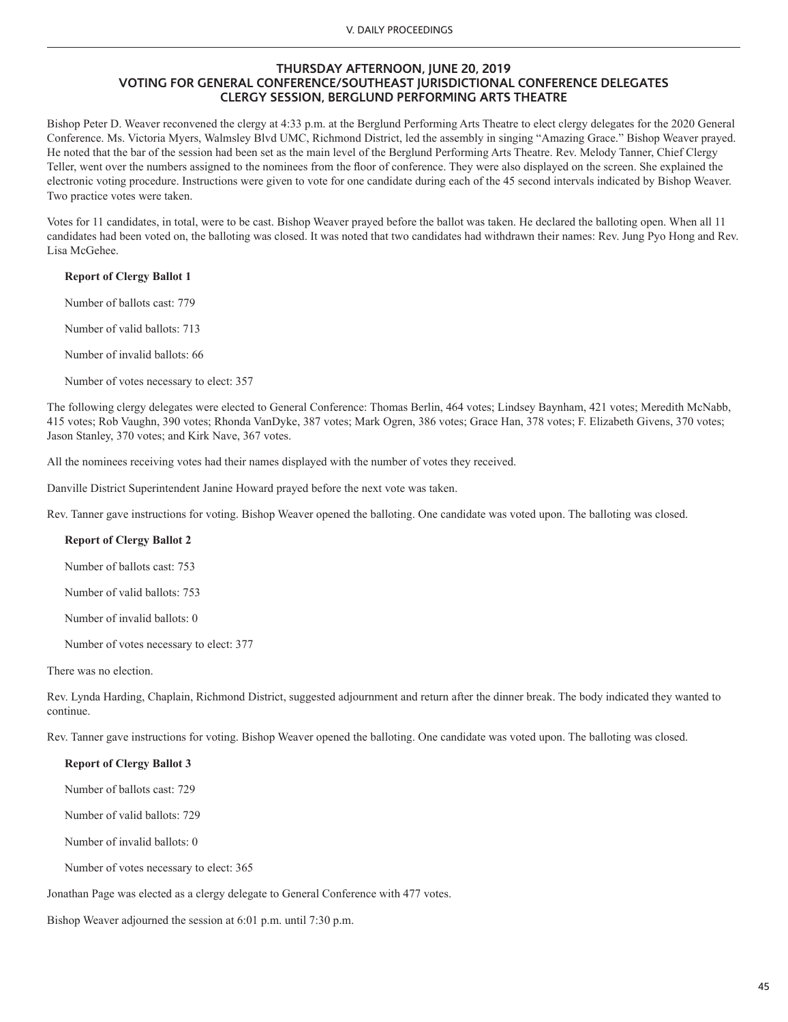### **THURSDAY AFTERNOON, JUNE 20, 2019 VOTING FOR GENERAL CONFERENCE/SOUTHEAST JURISDICTIONAL CONFERENCE DELEGATES CLERGY SESSION, BERGLUND PERFORMING ARTS THEATRE**

Bishop Peter D. Weaver reconvened the clergy at 4:33 p.m. at the Berglund Performing Arts Theatre to elect clergy delegates for the 2020 General Conference. Ms. Victoria Myers, Walmsley Blvd UMC, Richmond District, led the assembly in singing "Amazing Grace." Bishop Weaver prayed. He noted that the bar of the session had been set as the main level of the Berglund Performing Arts Theatre. Rev. Melody Tanner, Chief Clergy Teller, went over the numbers assigned to the nominees from the floor of conference. They were also displayed on the screen. She explained the electronic voting procedure. Instructions were given to vote for one candidate during each of the 45 second intervals indicated by Bishop Weaver. Two practice votes were taken.

Votes for 11 candidates, in total, were to be cast. Bishop Weaver prayed before the ballot was taken. He declared the balloting open. When all 11 candidates had been voted on, the balloting was closed. It was noted that two candidates had withdrawn their names: Rev. Jung Pyo Hong and Rev. Lisa McGehee.

#### **Report of Clergy Ballot 1**

Number of ballots cast: 779

Number of valid ballots: 713

Number of invalid ballots: 66

Number of votes necessary to elect: 357

The following clergy delegates were elected to General Conference: Thomas Berlin, 464 votes; Lindsey Baynham, 421 votes; Meredith McNabb, 415 votes; Rob Vaughn, 390 votes; Rhonda VanDyke, 387 votes; Mark Ogren, 386 votes; Grace Han, 378 votes; F. Elizabeth Givens, 370 votes; Jason Stanley, 370 votes; and Kirk Nave, 367 votes.

All the nominees receiving votes had their names displayed with the number of votes they received.

Danville District Superintendent Janine Howard prayed before the next vote was taken.

Rev. Tanner gave instructions for voting. Bishop Weaver opened the balloting. One candidate was voted upon. The balloting was closed.

#### **Report of Clergy Ballot 2**

Number of ballots cast: 753

Number of valid ballots: 753

Number of invalid ballots: 0

Number of votes necessary to elect: 377

There was no election.

Rev. Lynda Harding, Chaplain, Richmond District, suggested adjournment and return after the dinner break. The body indicated they wanted to continue.

Rev. Tanner gave instructions for voting. Bishop Weaver opened the balloting. One candidate was voted upon. The balloting was closed.

#### **Report of Clergy Ballot 3**

Number of ballots cast: 729

Number of valid ballots: 729

Number of invalid ballots: 0

Number of votes necessary to elect: 365

Jonathan Page was elected as a clergy delegate to General Conference with 477 votes.

Bishop Weaver adjourned the session at 6:01 p.m. until 7:30 p.m.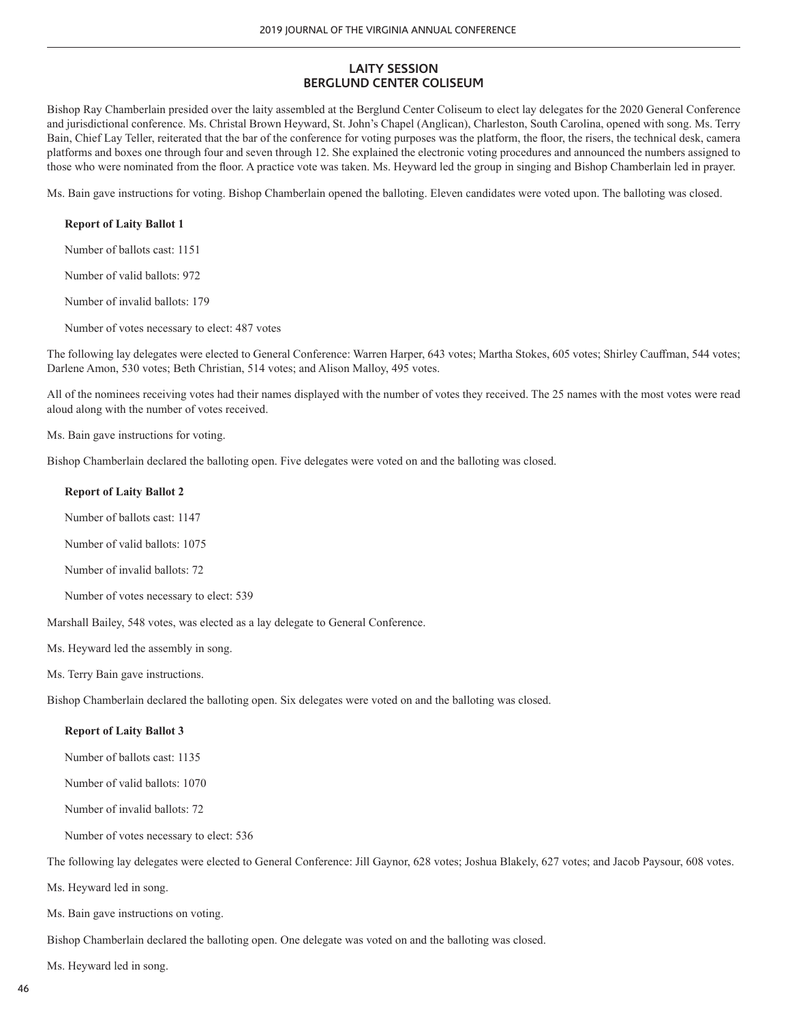# **LAITY SESSION BERGLUND CENTER COLISEUM**

Bishop Ray Chamberlain presided over the laity assembled at the Berglund Center Coliseum to elect lay delegates for the 2020 General Conference and jurisdictional conference. Ms. Christal Brown Heyward, St. John's Chapel (Anglican), Charleston, South Carolina, opened with song. Ms. Terry Bain, Chief Lay Teller, reiterated that the bar of the conference for voting purposes was the platform, the floor, the risers, the technical desk, camera platforms and boxes one through four and seven through 12. She explained the electronic voting procedures and announced the numbers assigned to those who were nominated from the floor. A practice vote was taken. Ms. Heyward led the group in singing and Bishop Chamberlain led in prayer.

Ms. Bain gave instructions for voting. Bishop Chamberlain opened the balloting. Eleven candidates were voted upon. The balloting was closed.

### **Report of Laity Ballot 1**

Number of ballots cast: 1151

Number of valid ballots: 972

Number of invalid ballots: 179

Number of votes necessary to elect: 487 votes

The following lay delegates were elected to General Conference: Warren Harper, 643 votes; Martha Stokes, 605 votes; Shirley Cauffman, 544 votes; Darlene Amon, 530 votes; Beth Christian, 514 votes; and Alison Malloy, 495 votes.

All of the nominees receiving votes had their names displayed with the number of votes they received. The 25 names with the most votes were read aloud along with the number of votes received.

Ms. Bain gave instructions for voting.

Bishop Chamberlain declared the balloting open. Five delegates were voted on and the balloting was closed.

#### **Report of Laity Ballot 2**

Number of ballots cast: 1147

Number of valid ballots: 1075

Number of invalid ballots: 72

Number of votes necessary to elect: 539

Marshall Bailey, 548 votes, was elected as a lay delegate to General Conference.

Ms. Heyward led the assembly in song.

Ms. Terry Bain gave instructions.

Bishop Chamberlain declared the balloting open. Six delegates were voted on and the balloting was closed.

#### **Report of Laity Ballot 3**

Number of ballots cast: 1135

Number of valid ballots: 1070

Number of invalid ballots: 72

Number of votes necessary to elect: 536

The following lay delegates were elected to General Conference: Jill Gaynor, 628 votes; Joshua Blakely, 627 votes; and Jacob Paysour, 608 votes.

Ms. Heyward led in song.

Ms. Bain gave instructions on voting.

Bishop Chamberlain declared the balloting open. One delegate was voted on and the balloting was closed.

Ms. Heyward led in song.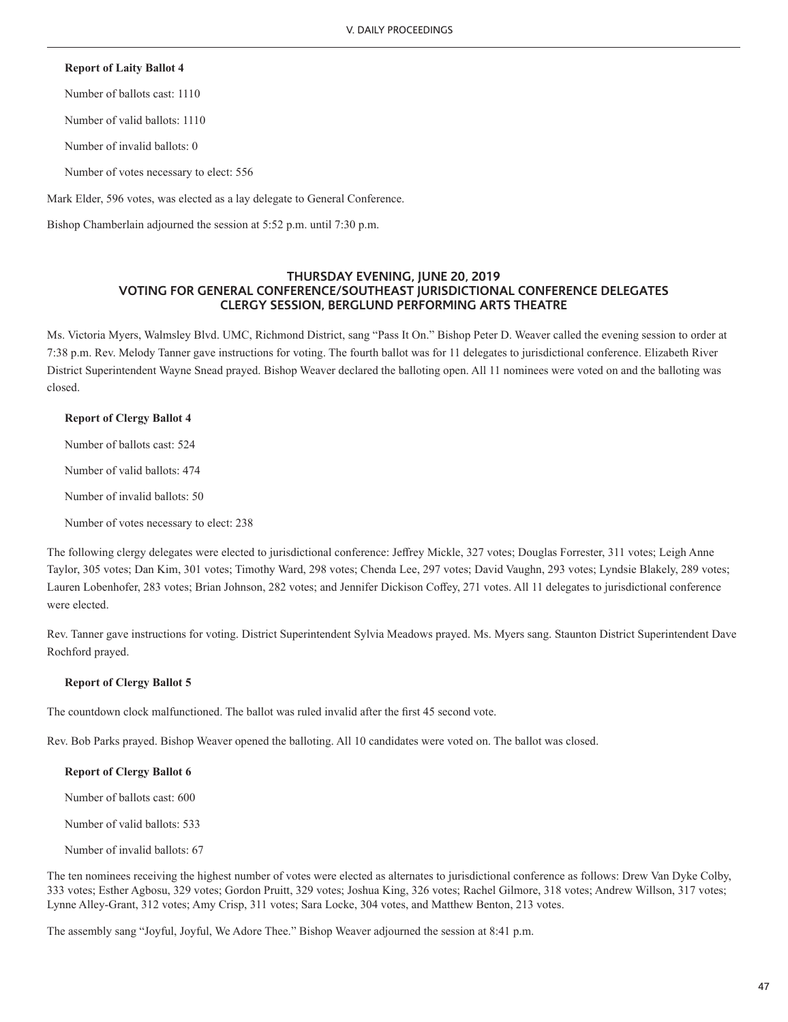### **Report of Laity Ballot 4**

Number of ballots cast: 1110

Number of valid ballots: 1110

Number of invalid ballots: 0

Number of votes necessary to elect: 556

Mark Elder, 596 votes, was elected as a lay delegate to General Conference.

Bishop Chamberlain adjourned the session at 5:52 p.m. until 7:30 p.m.

### **THURSDAY EVENING, JUNE 20, 2019 VOTING FOR GENERAL CONFERENCE/SOUTHEAST JURISDICTIONAL CONFERENCE DELEGATES CLERGY SESSION, BERGLUND PERFORMING ARTS THEATRE**

Ms. Victoria Myers, Walmsley Blvd. UMC, Richmond District, sang "Pass It On." Bishop Peter D. Weaver called the evening session to order at 7:38 p.m. Rev. Melody Tanner gave instructions for voting. The fourth ballot was for 11 delegates to jurisdictional conference. Elizabeth River District Superintendent Wayne Snead prayed. Bishop Weaver declared the balloting open. All 11 nominees were voted on and the balloting was closed.

### **Report of Clergy Ballot 4**

Number of ballots cast: 524

Number of valid ballots: 474

Number of invalid ballots: 50

Number of votes necessary to elect: 238

The following clergy delegates were elected to jurisdictional conference: Jeffrey Mickle, 327 votes; Douglas Forrester, 311 votes; Leigh Anne Taylor, 305 votes; Dan Kim, 301 votes; Timothy Ward, 298 votes; Chenda Lee, 297 votes; David Vaughn, 293 votes; Lyndsie Blakely, 289 votes; Lauren Lobenhofer, 283 votes; Brian Johnson, 282 votes; and Jennifer Dickison Coffey, 271 votes. All 11 delegates to jurisdictional conference were elected.

Rev. Tanner gave instructions for voting. District Superintendent Sylvia Meadows prayed. Ms. Myers sang. Staunton District Superintendent Dave Rochford prayed.

# **Report of Clergy Ballot 5**

The countdown clock malfunctioned. The ballot was ruled invalid after the first 45 second vote.

Rev. Bob Parks prayed. Bishop Weaver opened the balloting. All 10 candidates were voted on. The ballot was closed.

# **Report of Clergy Ballot 6**

Number of ballots cast: 600

Number of valid ballots: 533

Number of invalid ballots: 67

The ten nominees receiving the highest number of votes were elected as alternates to jurisdictional conference as follows: Drew Van Dyke Colby, 333 votes; Esther Agbosu, 329 votes; Gordon Pruitt, 329 votes; Joshua King, 326 votes; Rachel Gilmore, 318 votes; Andrew Willson, 317 votes; Lynne Alley-Grant, 312 votes; Amy Crisp, 311 votes; Sara Locke, 304 votes, and Matthew Benton, 213 votes.

The assembly sang "Joyful, Joyful, We Adore Thee." Bishop Weaver adjourned the session at 8:41 p.m.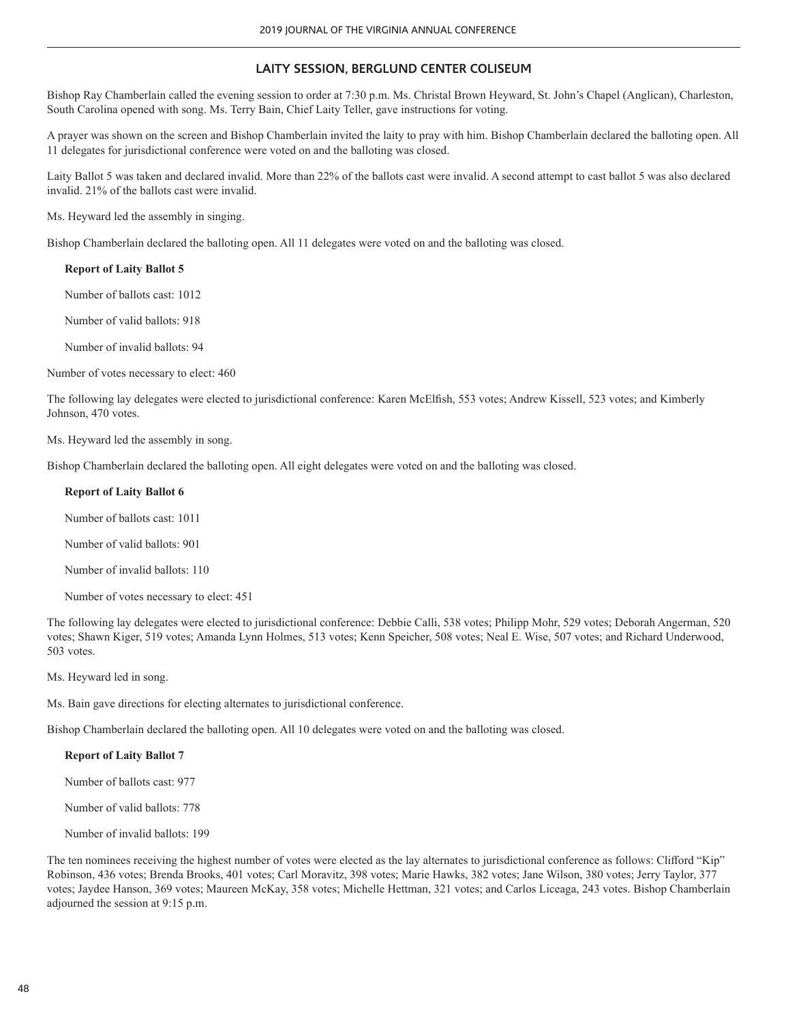# **LAITY SESSION, BERGLUND CENTER COLISEUM**

Bishop Ray Chamberlain called the evening session to order at 7:30 p.m. Ms. Christal Brown Heyward, St. John's Chapel (Anglican), Charleston, South Carolina opened with song. Ms. Terry Bain, Chief Laity Teller, gave instructions for voting.

A prayer was shown on the screen and Bishop Chamberlain invited the laity to pray with him. Bishop Chamberlain declared the balloting open. All 11 delegates for jurisdictional conference were voted on and the balloting was closed.

Laity Ballot 5 was taken and declared invalid. More than 22% of the ballots cast were invalid. A second attempt to cast ballot 5 was also declared invalid. 21% of the ballots cast were invalid.

Ms. Heyward led the assembly in singing.

Bishop Chamberlain declared the balloting open. All 11 delegates were voted on and the balloting was closed.

### **Report of Laity Ballot 5**

Number of ballots cast: 1012

Number of valid ballots: 918

Number of invalid ballots: 94

Number of votes necessary to elect: 460

The following lay delegates were elected to jurisdictional conference: Karen McElfish, 553 votes; Andrew Kissell, 523 votes; and Kimberly Johnson, 470 votes.

Ms. Heyward led the assembly in song.

Bishop Chamberlain declared the balloting open. All eight delegates were voted on and the balloting was closed.

### **Report of Laity Ballot 6**

Number of ballots cast: 1011

Number of valid ballots: 901

Number of invalid ballots: 110

Number of votes necessary to elect: 451

The following lay delegates were elected to jurisdictional conference: Debbie Calli, 538 votes; Philipp Mohr, 529 votes; Deborah Angerman, 520 votes; Shawn Kiger, 519 votes; Amanda Lynn Holmes, 513 votes; Kenn Speicher, 508 votes; Neal E. Wise, 507 votes; and Richard Underwood, 503 votes.

Ms. Heyward led in song.

Ms. Bain gave directions for electing alternates to jurisdictional conference.

Bishop Chamberlain declared the balloting open. All 10 delegates were voted on and the balloting was closed.

### **Report of Laity Ballot 7**

Number of ballots cast: 977

Number of valid ballots: 778

Number of invalid ballots: 199

The ten nominees receiving the highest number of votes were elected as the lay alternates to jurisdictional conference as follows: Clifford "Kip" Robinson, 436 votes; Brenda Brooks, 401 votes; Carl Moravitz, 398 votes; Marie Hawks, 382 votes; Jane Wilson, 380 votes; Jerry Taylor, 377 votes; Jaydee Hanson, 369 votes; Maureen McKay, 358 votes; Michelle Hettman, 321 votes; and Carlos Liceaga, 243 votes. Bishop Chamberlain adjourned the session at 9:15 p.m.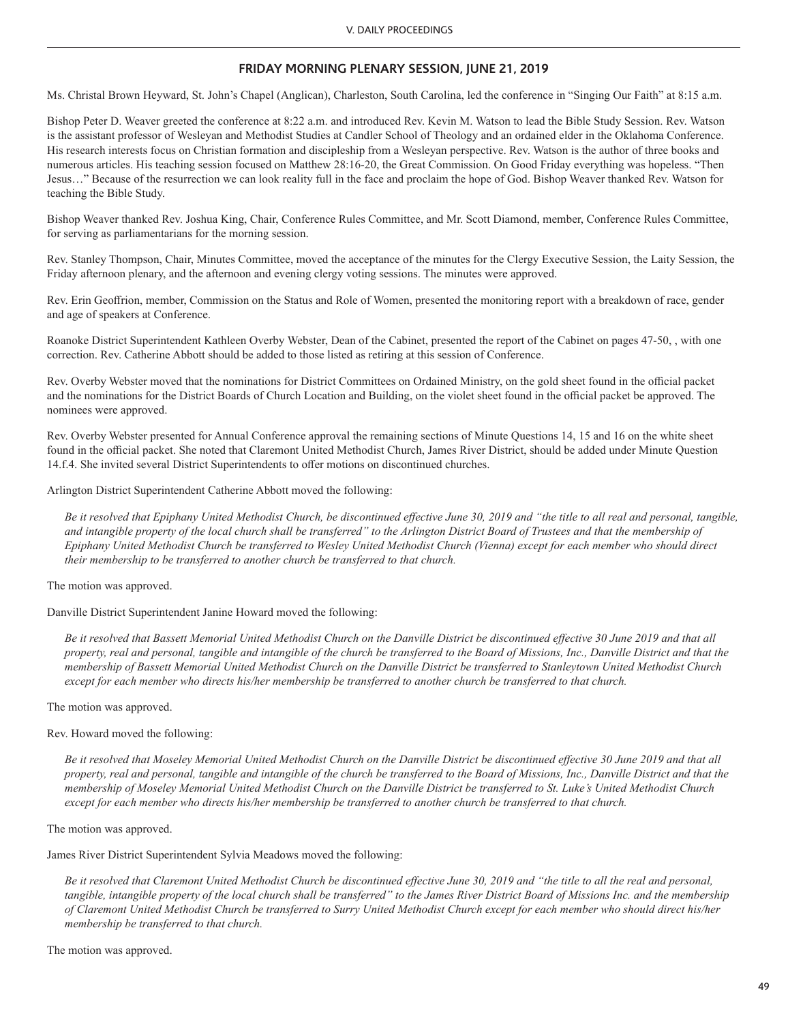# **FRIDAY MORNING PLENARY SESSION, JUNE 21, 2019**

Ms. Christal Brown Heyward, St. John's Chapel (Anglican), Charleston, South Carolina, led the conference in "Singing Our Faith" at 8:15 a.m.

Bishop Peter D. Weaver greeted the conference at 8:22 a.m. and introduced Rev. Kevin M. Watson to lead the Bible Study Session. Rev. Watson is the assistant professor of Wesleyan and Methodist Studies at Candler School of Theology and an ordained elder in the Oklahoma Conference. His research interests focus on Christian formation and discipleship from a Wesleyan perspective. Rev. Watson is the author of three books and numerous articles. His teaching session focused on Matthew 28:16-20, the Great Commission. On Good Friday everything was hopeless. "Then Jesus…" Because of the resurrection we can look reality full in the face and proclaim the hope of God. Bishop Weaver thanked Rev. Watson for teaching the Bible Study.

Bishop Weaver thanked Rev. Joshua King, Chair, Conference Rules Committee, and Mr. Scott Diamond, member, Conference Rules Committee, for serving as parliamentarians for the morning session.

Rev. Stanley Thompson, Chair, Minutes Committee, moved the acceptance of the minutes for the Clergy Executive Session, the Laity Session, the Friday afternoon plenary, and the afternoon and evening clergy voting sessions. The minutes were approved.

Rev. Erin Geoffrion, member, Commission on the Status and Role of Women, presented the monitoring report with a breakdown of race, gender and age of speakers at Conference.

Roanoke District Superintendent Kathleen Overby Webster, Dean of the Cabinet, presented the report of the Cabinet on pages 47-50, , with one correction. Rev. Catherine Abbott should be added to those listed as retiring at this session of Conference.

Rev. Overby Webster moved that the nominations for District Committees on Ordained Ministry, on the gold sheet found in the official packet and the nominations for the District Boards of Church Location and Building, on the violet sheet found in the official packet be approved. The nominees were approved.

Rev. Overby Webster presented for Annual Conference approval the remaining sections of Minute Questions 14, 15 and 16 on the white sheet found in the official packet. She noted that Claremont United Methodist Church, James River District, should be added under Minute Question 14.f.4. She invited several District Superintendents to offer motions on discontinued churches.

Arlington District Superintendent Catherine Abbott moved the following:

*Be it resolved that Epiphany United Methodist Church, be discontinued effective June 30, 2019 and "the title to all real and personal, tangible,*  and intangible property of the local church shall be transferred" to the Arlington District Board of Trustees and that the membership of *Epiphany United Methodist Church be transferred to Wesley United Methodist Church (Vienna) except for each member who should direct their membership to be transferred to another church be transferred to that church.* 

The motion was approved.

Danville District Superintendent Janine Howard moved the following:

*Be it resolved that Bassett Memorial United Methodist Church on the Danville District be discontinued effective 30 June 2019 and that all property, real and personal, tangible and intangible of the church be transferred to the Board of Missions, Inc., Danville District and that the membership of Bassett Memorial United Methodist Church on the Danville District be transferred to Stanleytown United Methodist Church except for each member who directs his/her membership be transferred to another church be transferred to that church.* 

The motion was approved.

Rev. Howard moved the following:

*Be it resolved that Moseley Memorial United Methodist Church on the Danville District be discontinued effective 30 June 2019 and that all property, real and personal, tangible and intangible of the church be transferred to the Board of Missions, Inc., Danville District and that the membership of Moseley Memorial United Methodist Church on the Danville District be transferred to St. Luke's United Methodist Church except for each member who directs his/her membership be transferred to another church be transferred to that church.* 

The motion was approved.

James River District Superintendent Sylvia Meadows moved the following:

*Be it resolved that Claremont United Methodist Church be discontinued effective June 30, 2019 and "the title to all the real and personal, tangible, intangible property of the local church shall be transferred" to the James River District Board of Missions Inc. and the membership of Claremont United Methodist Church be transferred to Surry United Methodist Church except for each member who should direct his/her membership be transferred to that church.*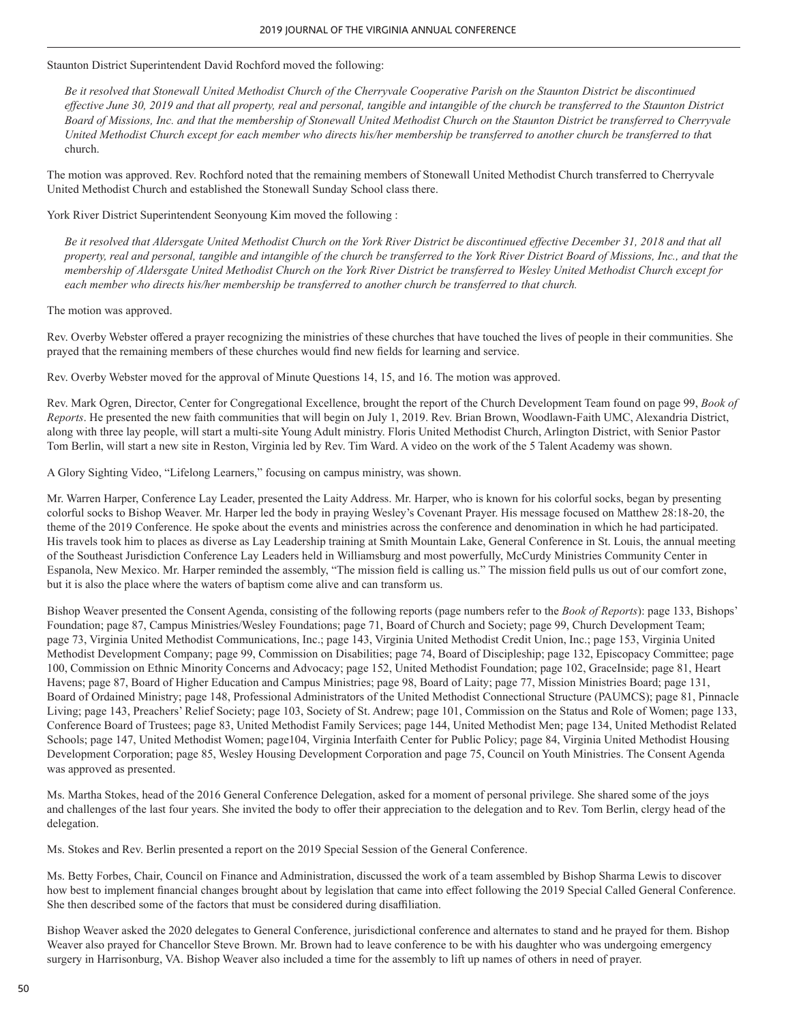### Staunton District Superintendent David Rochford moved the following:

*Be it resolved that Stonewall United Methodist Church of the Cherryvale Cooperative Parish on the Staunton District be discontinued effective June 30, 2019 and that all property, real and personal, tangible and intangible of the church be transferred to the Staunton District Board of Missions, Inc. and that the membership of Stonewall United Methodist Church on the Staunton District be transferred to Cherryvale United Methodist Church except for each member who directs his/her membership be transferred to another church be transferred to tha*t church.

The motion was approved. Rev. Rochford noted that the remaining members of Stonewall United Methodist Church transferred to Cherryvale United Methodist Church and established the Stonewall Sunday School class there.

York River District Superintendent Seonyoung Kim moved the following :

*Be it resolved that Aldersgate United Methodist Church on the York River District be discontinued effective December 31, 2018 and that all property, real and personal, tangible and intangible of the church be transferred to the York River District Board of Missions, Inc., and that the membership of Aldersgate United Methodist Church on the York River District be transferred to Wesley United Methodist Church except for each member who directs his/her membership be transferred to another church be transferred to that church.* 

The motion was approved.

Rev. Overby Webster offered a prayer recognizing the ministries of these churches that have touched the lives of people in their communities. She prayed that the remaining members of these churches would find new fields for learning and service.

Rev. Overby Webster moved for the approval of Minute Questions 14, 15, and 16. The motion was approved.

Rev. Mark Ogren, Director, Center for Congregational Excellence, brought the report of the Church Development Team found on page 99, *Book of Reports*. He presented the new faith communities that will begin on July 1, 2019. Rev. Brian Brown, Woodlawn-Faith UMC, Alexandria District, along with three lay people, will start a multi-site Young Adult ministry. Floris United Methodist Church, Arlington District, with Senior Pastor Tom Berlin, will start a new site in Reston, Virginia led by Rev. Tim Ward. A video on the work of the 5 Talent Academy was shown.

A Glory Sighting Video, "Lifelong Learners," focusing on campus ministry, was shown.

Mr. Warren Harper, Conference Lay Leader, presented the Laity Address. Mr. Harper, who is known for his colorful socks, began by presenting colorful socks to Bishop Weaver. Mr. Harper led the body in praying Wesley's Covenant Prayer. His message focused on Matthew 28:18-20, the theme of the 2019 Conference. He spoke about the events and ministries across the conference and denomination in which he had participated. His travels took him to places as diverse as Lay Leadership training at Smith Mountain Lake, General Conference in St. Louis, the annual meeting of the Southeast Jurisdiction Conference Lay Leaders held in Williamsburg and most powerfully, McCurdy Ministries Community Center in Espanola, New Mexico. Mr. Harper reminded the assembly, "The mission field is calling us." The mission field pulls us out of our comfort zone, but it is also the place where the waters of baptism come alive and can transform us.

Bishop Weaver presented the Consent Agenda, consisting of the following reports (page numbers refer to the *Book of Reports*): page 133, Bishops' Foundation; page 87, Campus Ministries/Wesley Foundations; page 71, Board of Church and Society; page 99, Church Development Team; page 73, Virginia United Methodist Communications, Inc.; page 143, Virginia United Methodist Credit Union, Inc.; page 153, Virginia United Methodist Development Company; page 99, Commission on Disabilities; page 74, Board of Discipleship; page 132, Episcopacy Committee; page 100, Commission on Ethnic Minority Concerns and Advocacy; page 152, United Methodist Foundation; page 102, GraceInside; page 81, Heart Havens; page 87, Board of Higher Education and Campus Ministries; page 98, Board of Laity; page 77, Mission Ministries Board; page 131, Board of Ordained Ministry; page 148, Professional Administrators of the United Methodist Connectional Structure (PAUMCS); page 81, Pinnacle Living; page 143, Preachers' Relief Society; page 103, Society of St. Andrew; page 101, Commission on the Status and Role of Women; page 133, Conference Board of Trustees; page 83, United Methodist Family Services; page 144, United Methodist Men; page 134, United Methodist Related Schools; page 147, United Methodist Women; page104, Virginia Interfaith Center for Public Policy; page 84, Virginia United Methodist Housing Development Corporation; page 85, Wesley Housing Development Corporation and page 75, Council on Youth Ministries. The Consent Agenda was approved as presented.

Ms. Martha Stokes, head of the 2016 General Conference Delegation, asked for a moment of personal privilege. She shared some of the joys and challenges of the last four years. She invited the body to offer their appreciation to the delegation and to Rev. Tom Berlin, clergy head of the delegation.

Ms. Stokes and Rev. Berlin presented a report on the 2019 Special Session of the General Conference.

Ms. Betty Forbes, Chair, Council on Finance and Administration, discussed the work of a team assembled by Bishop Sharma Lewis to discover how best to implement financial changes brought about by legislation that came into effect following the 2019 Special Called General Conference. She then described some of the factors that must be considered during disaffiliation.

Bishop Weaver asked the 2020 delegates to General Conference, jurisdictional conference and alternates to stand and he prayed for them. Bishop Weaver also prayed for Chancellor Steve Brown. Mr. Brown had to leave conference to be with his daughter who was undergoing emergency surgery in Harrisonburg, VA. Bishop Weaver also included a time for the assembly to lift up names of others in need of prayer.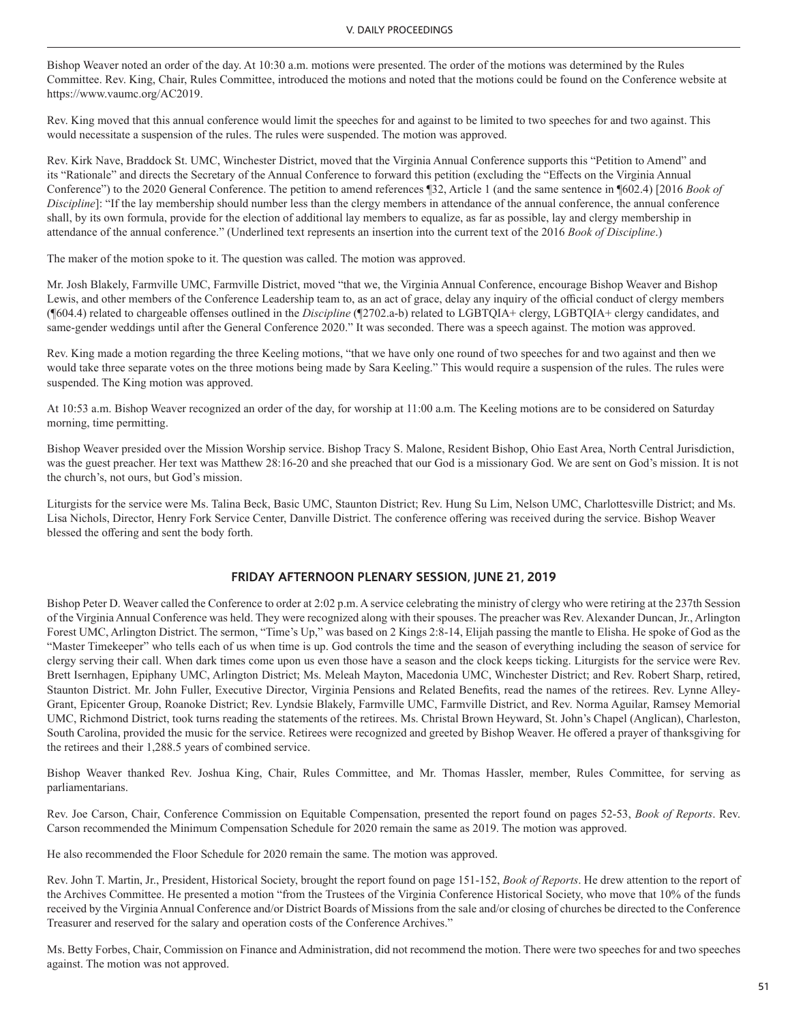Bishop Weaver noted an order of the day. At 10:30 a.m. motions were presented. The order of the motions was determined by the Rules Committee. Rev. King, Chair, Rules Committee, introduced the motions and noted that the motions could be found on the Conference website at https://www.vaumc.org/AC2019.

Rev. King moved that this annual conference would limit the speeches for and against to be limited to two speeches for and two against. This would necessitate a suspension of the rules. The rules were suspended. The motion was approved.

Rev. Kirk Nave, Braddock St. UMC, Winchester District, moved that the Virginia Annual Conference supports this "Petition to Amend" and its "Rationale" and directs the Secretary of the Annual Conference to forward this petition (excluding the "Effects on the Virginia Annual Conference") to the 2020 General Conference. The petition to amend references ¶32, Article 1 (and the same sentence in ¶602.4) [2016 *Book of Discipline*]: "If the lay membership should number less than the clergy members in attendance of the annual conference, the annual conference shall, by its own formula, provide for the election of additional lay members to equalize, as far as possible, lay and clergy membership in attendance of the annual conference." (Underlined text represents an insertion into the current text of the 2016 *Book of Discipline*.)

The maker of the motion spoke to it. The question was called. The motion was approved.

Mr. Josh Blakely, Farmville UMC, Farmville District, moved "that we, the Virginia Annual Conference, encourage Bishop Weaver and Bishop Lewis, and other members of the Conference Leadership team to, as an act of grace, delay any inquiry of the official conduct of clergy members (¶604.4) related to chargeable offenses outlined in the *Discipline* (¶2702.a-b) related to LGBTQIA+ clergy, LGBTQIA+ clergy candidates, and same-gender weddings until after the General Conference 2020." It was seconded. There was a speech against. The motion was approved.

Rev. King made a motion regarding the three Keeling motions, "that we have only one round of two speeches for and two against and then we would take three separate votes on the three motions being made by Sara Keeling." This would require a suspension of the rules. The rules were suspended. The King motion was approved.

At 10:53 a.m. Bishop Weaver recognized an order of the day, for worship at 11:00 a.m. The Keeling motions are to be considered on Saturday morning, time permitting.

Bishop Weaver presided over the Mission Worship service. Bishop Tracy S. Malone, Resident Bishop, Ohio East Area, North Central Jurisdiction, was the guest preacher. Her text was Matthew 28:16-20 and she preached that our God is a missionary God. We are sent on God's mission. It is not the church's, not ours, but God's mission.

Liturgists for the service were Ms. Talina Beck, Basic UMC, Staunton District; Rev. Hung Su Lim, Nelson UMC, Charlottesville District; and Ms. Lisa Nichols, Director, Henry Fork Service Center, Danville District. The conference offering was received during the service. Bishop Weaver blessed the offering and sent the body forth.

### **FRIDAY AFTERNOON PLENARY SESSION, JUNE 21, 2019**

Bishop Peter D. Weaver called the Conference to order at 2:02 p.m. A service celebrating the ministry of clergy who were retiring at the 237th Session of the Virginia Annual Conference was held. They were recognized along with their spouses. The preacher was Rev. Alexander Duncan, Jr., Arlington Forest UMC, Arlington District. The sermon, "Time's Up," was based on 2 Kings 2:8-14, Elijah passing the mantle to Elisha. He spoke of God as the "Master Timekeeper" who tells each of us when time is up. God controls the time and the season of everything including the season of service for clergy serving their call. When dark times come upon us even those have a season and the clock keeps ticking. Liturgists for the service were Rev. Brett Isernhagen, Epiphany UMC, Arlington District; Ms. Meleah Mayton, Macedonia UMC, Winchester District; and Rev. Robert Sharp, retired, Staunton District. Mr. John Fuller, Executive Director, Virginia Pensions and Related Benefits, read the names of the retirees. Rev. Lynne Alley-Grant, Epicenter Group, Roanoke District; Rev. Lyndsie Blakely, Farmville UMC, Farmville District, and Rev. Norma Aguilar, Ramsey Memorial UMC, Richmond District, took turns reading the statements of the retirees. Ms. Christal Brown Heyward, St. John's Chapel (Anglican), Charleston, South Carolina, provided the music for the service. Retirees were recognized and greeted by Bishop Weaver. He offered a prayer of thanksgiving for the retirees and their 1,288.5 years of combined service.

Bishop Weaver thanked Rev. Joshua King, Chair, Rules Committee, and Mr. Thomas Hassler, member, Rules Committee, for serving as parliamentarians.

Rev. Joe Carson, Chair, Conference Commission on Equitable Compensation, presented the report found on pages 52-53, *Book of Reports*. Rev. Carson recommended the Minimum Compensation Schedule for 2020 remain the same as 2019. The motion was approved.

He also recommended the Floor Schedule for 2020 remain the same. The motion was approved.

Rev. John T. Martin, Jr., President, Historical Society, brought the report found on page 151-152, *Book of Reports*. He drew attention to the report of the Archives Committee. He presented a motion "from the Trustees of the Virginia Conference Historical Society, who move that 10% of the funds received by the Virginia Annual Conference and/or District Boards of Missions from the sale and/or closing of churches be directed to the Conference Treasurer and reserved for the salary and operation costs of the Conference Archives."

Ms. Betty Forbes, Chair, Commission on Finance and Administration, did not recommend the motion. There were two speeches for and two speeches against. The motion was not approved.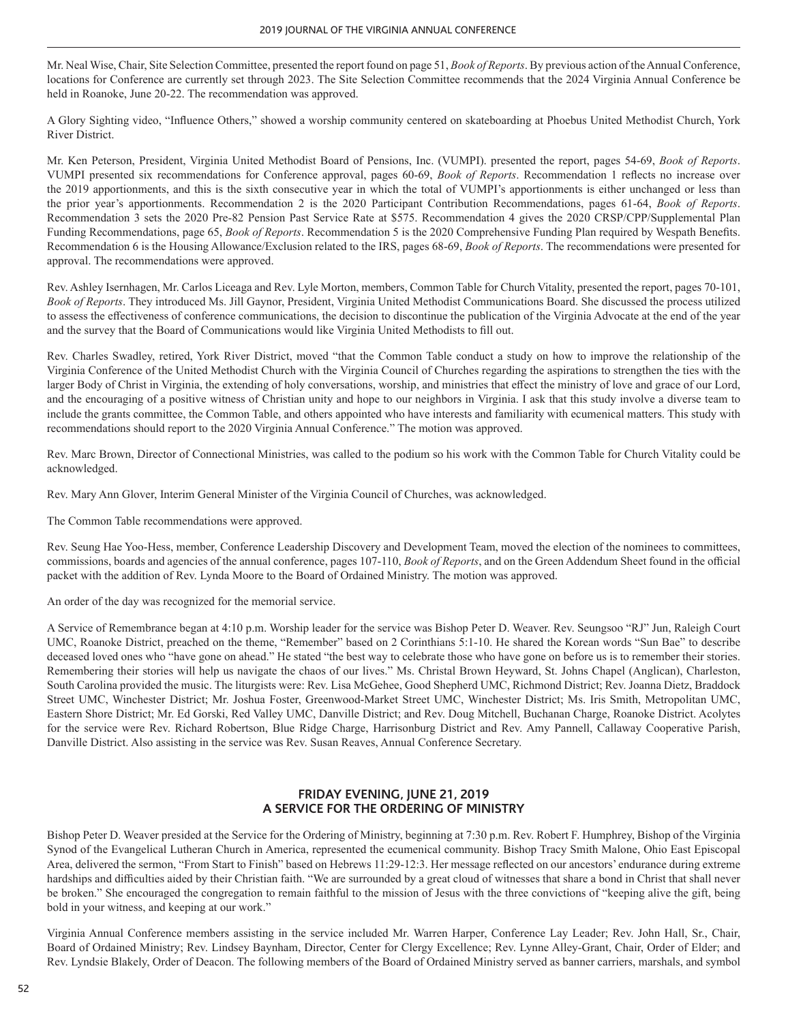Mr. Neal Wise, Chair, Site Selection Committee, presented the report found on page 51, *Book of Reports*. By previous action of the Annual Conference, locations for Conference are currently set through 2023. The Site Selection Committee recommends that the 2024 Virginia Annual Conference be held in Roanoke, June 20-22. The recommendation was approved.

A Glory Sighting video, "Influence Others," showed a worship community centered on skateboarding at Phoebus United Methodist Church, York River District.

Mr. Ken Peterson, President, Virginia United Methodist Board of Pensions, Inc. (VUMPI). presented the report, pages 54-69, *Book of Reports*. VUMPI presented six recommendations for Conference approval, pages 60-69, *Book of Reports*. Recommendation 1 reflects no increase over the 2019 apportionments, and this is the sixth consecutive year in which the total of VUMPI's apportionments is either unchanged or less than the prior year's apportionments. Recommendation 2 is the 2020 Participant Contribution Recommendations, pages 61-64, *Book of Reports*. Recommendation 3 sets the 2020 Pre-82 Pension Past Service Rate at \$575. Recommendation 4 gives the 2020 CRSP/CPP/Supplemental Plan Funding Recommendations, page 65, *Book of Reports*. Recommendation 5 is the 2020 Comprehensive Funding Plan required by Wespath Benefits. Recommendation 6 is the Housing Allowance/Exclusion related to the IRS, pages 68-69, *Book of Reports*. The recommendations were presented for approval. The recommendations were approved.

Rev. Ashley Isernhagen, Mr. Carlos Liceaga and Rev. Lyle Morton, members, Common Table for Church Vitality, presented the report, pages 70-101, *Book of Reports*. They introduced Ms. Jill Gaynor, President, Virginia United Methodist Communications Board. She discussed the process utilized to assess the effectiveness of conference communications, the decision to discontinue the publication of the Virginia Advocate at the end of the year and the survey that the Board of Communications would like Virginia United Methodists to fill out.

Rev. Charles Swadley, retired, York River District, moved "that the Common Table conduct a study on how to improve the relationship of the Virginia Conference of the United Methodist Church with the Virginia Council of Churches regarding the aspirations to strengthen the ties with the larger Body of Christ in Virginia, the extending of holy conversations, worship, and ministries that effect the ministry of love and grace of our Lord, and the encouraging of a positive witness of Christian unity and hope to our neighbors in Virginia. I ask that this study involve a diverse team to include the grants committee, the Common Table, and others appointed who have interests and familiarity with ecumenical matters. This study with recommendations should report to the 2020 Virginia Annual Conference." The motion was approved.

Rev. Marc Brown, Director of Connectional Ministries, was called to the podium so his work with the Common Table for Church Vitality could be acknowledged.

Rev. Mary Ann Glover, Interim General Minister of the Virginia Council of Churches, was acknowledged.

The Common Table recommendations were approved.

Rev. Seung Hae Yoo-Hess, member, Conference Leadership Discovery and Development Team, moved the election of the nominees to committees, commissions, boards and agencies of the annual conference, pages 107-110, *Book of Reports*, and on the Green Addendum Sheet found in the official packet with the addition of Rev. Lynda Moore to the Board of Ordained Ministry. The motion was approved.

An order of the day was recognized for the memorial service.

A Service of Remembrance began at 4:10 p.m. Worship leader for the service was Bishop Peter D. Weaver. Rev. Seungsoo "RJ" Jun, Raleigh Court UMC, Roanoke District, preached on the theme, "Remember" based on 2 Corinthians 5:1-10. He shared the Korean words "Sun Bae" to describe deceased loved ones who "have gone on ahead." He stated "the best way to celebrate those who have gone on before us is to remember their stories. Remembering their stories will help us navigate the chaos of our lives." Ms. Christal Brown Heyward, St. Johns Chapel (Anglican), Charleston, South Carolina provided the music. The liturgists were: Rev. Lisa McGehee, Good Shepherd UMC, Richmond District; Rev. Joanna Dietz, Braddock Street UMC, Winchester District; Mr. Joshua Foster, Greenwood-Market Street UMC, Winchester District; Ms. Iris Smith, Metropolitan UMC, Eastern Shore District; Mr. Ed Gorski, Red Valley UMC, Danville District; and Rev. Doug Mitchell, Buchanan Charge, Roanoke District. Acolytes for the service were Rev. Richard Robertson, Blue Ridge Charge, Harrisonburg District and Rev. Amy Pannell, Callaway Cooperative Parish, Danville District. Also assisting in the service was Rev. Susan Reaves, Annual Conference Secretary.

# **FRIDAY EVENING, JUNE 21, 2019 A SERVICE FOR THE ORDERING OF MINISTRY**

Bishop Peter D. Weaver presided at the Service for the Ordering of Ministry, beginning at 7:30 p.m. Rev. Robert F. Humphrey, Bishop of the Virginia Synod of the Evangelical Lutheran Church in America, represented the ecumenical community. Bishop Tracy Smith Malone, Ohio East Episcopal Area, delivered the sermon, "From Start to Finish" based on Hebrews 11:29-12:3. Her message reflected on our ancestors' endurance during extreme hardships and difficulties aided by their Christian faith. "We are surrounded by a great cloud of witnesses that share a bond in Christ that shall never be broken." She encouraged the congregation to remain faithful to the mission of Jesus with the three convictions of "keeping alive the gift, being bold in your witness, and keeping at our work."

Virginia Annual Conference members assisting in the service included Mr. Warren Harper, Conference Lay Leader; Rev. John Hall, Sr., Chair, Board of Ordained Ministry; Rev. Lindsey Baynham, Director, Center for Clergy Excellence; Rev. Lynne Alley-Grant, Chair, Order of Elder; and Rev. Lyndsie Blakely, Order of Deacon. The following members of the Board of Ordained Ministry served as banner carriers, marshals, and symbol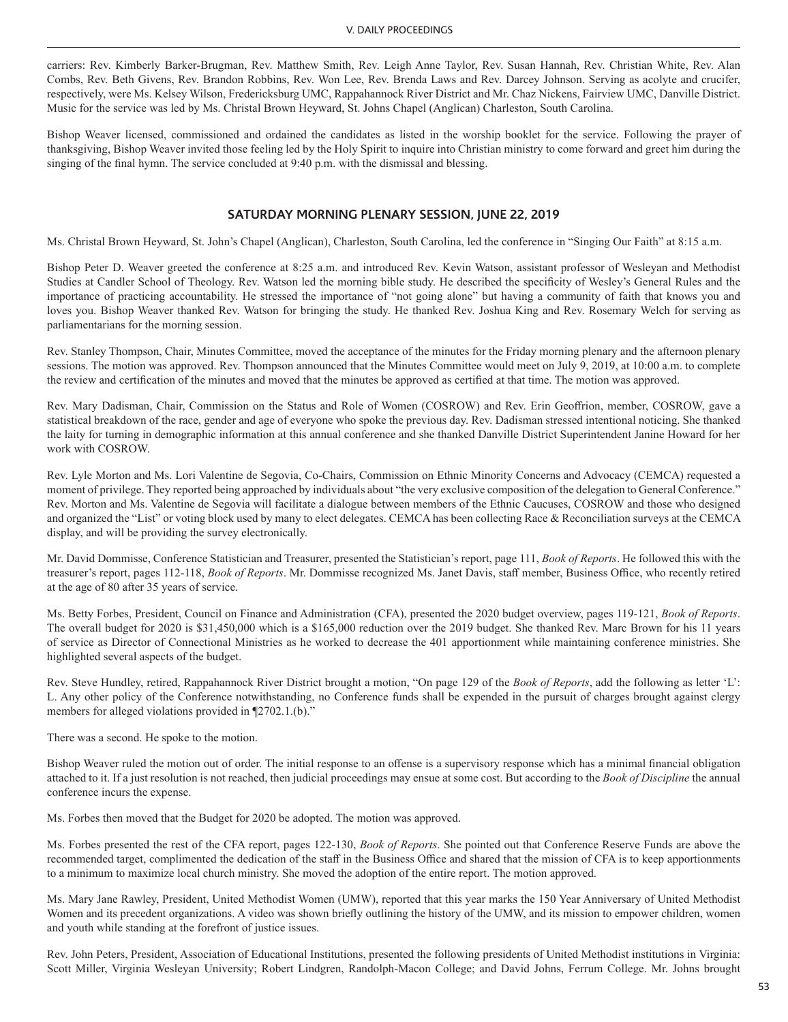carriers: Rev. Kimberly Barker-Brugman, Rev. Matthew Smith, Rev. Leigh Anne Taylor, Rev. Susan Hannah, Rev. Christian White, Rev. Alan Combs, Rev. Beth Givens, Rev. Brandon Robbins, Rev. Won Lee, Rev. Brenda Laws and Rev. Darcey Johnson. Serving as acolyte and crucifer, respectively, were Ms. Kelsey Wilson, Fredericksburg UMC, Rappahannock River District and Mr. Chaz Nickens, Fairview UMC, Danville District. Music for the service was led by Ms. Christal Brown Heyward, St. Johns Chapel (Anglican) Charleston, South Carolina.

Bishop Weaver licensed, commissioned and ordained the candidates as listed in the worship booklet for the service. Following the prayer of thanksgiving, Bishop Weaver invited those feeling led by the Holy Spirit to inquire into Christian ministry to come forward and greet him during the singing of the final hymn. The service concluded at 9:40 p.m. with the dismissal and blessing.

### **SATURDAY MORNING PLENARY SESSION, JUNE 22, 2019**

Ms. Christal Brown Heyward, St. John's Chapel (Anglican), Charleston, South Carolina, led the conference in "Singing Our Faith" at 8:15 a.m.

Bishop Peter D. Weaver greeted the conference at 8:25 a.m. and introduced Rev. Kevin Watson, assistant professor of Wesleyan and Methodist Studies at Candler School of Theology. Rev. Watson led the morning bible study. He described the specificity of Wesley's General Rules and the importance of practicing accountability. He stressed the importance of "not going alone" but having a community of faith that knows you and loves you. Bishop Weaver thanked Rev. Watson for bringing the study. He thanked Rev. Joshua King and Rev. Rosemary Welch for serving as parliamentarians for the morning session.

Rev. Stanley Thompson, Chair, Minutes Committee, moved the acceptance of the minutes for the Friday morning plenary and the afternoon plenary sessions. The motion was approved. Rev. Thompson announced that the Minutes Committee would meet on July 9, 2019, at 10:00 a.m. to complete the review and certification of the minutes and moved that the minutes be approved as certified at that time. The motion was approved.

Rev. Mary Dadisman, Chair, Commission on the Status and Role of Women (COSROW) and Rev. Erin Geoffrion, member, COSROW, gave a statistical breakdown of the race, gender and age of everyone who spoke the previous day. Rev. Dadisman stressed intentional noticing. She thanked the laity for turning in demographic information at this annual conference and she thanked Danville District Superintendent Janine Howard for her work with COSROW.

Rev. Lyle Morton and Ms. Lori Valentine de Segovia, Co-Chairs, Commission on Ethnic Minority Concerns and Advocacy (CEMCA) requested a moment of privilege. They reported being approached by individuals about "the very exclusive composition of the delegation to General Conference." Rev. Morton and Ms. Valentine de Segovia will facilitate a dialogue between members of the Ethnic Caucuses, COSROW and those who designed and organized the "List" or voting block used by many to elect delegates. CEMCA has been collecting Race & Reconciliation surveys at the CEMCA display, and will be providing the survey electronically.

Mr. David Dommisse, Conference Statistician and Treasurer, presented the Statistician's report, page 111, *Book of Reports*. He followed this with the treasurer's report, pages 112-118, *Book of Reports*. Mr. Dommisse recognized Ms. Janet Davis, staff member, Business Office, who recently retired at the age of 80 after 35 years of service.

Ms. Betty Forbes, President, Council on Finance and Administration (CFA), presented the 2020 budget overview, pages 119-121, *Book of Reports*. The overall budget for 2020 is \$31,450,000 which is a \$165,000 reduction over the 2019 budget. She thanked Rev. Marc Brown for his 11 years of service as Director of Connectional Ministries as he worked to decrease the 401 apportionment while maintaining conference ministries. She highlighted several aspects of the budget.

Rev. Steve Hundley, retired, Rappahannock River District brought a motion, "On page 129 of the *Book of Reports*, add the following as letter 'L': L. Any other policy of the Conference notwithstanding, no Conference funds shall be expended in the pursuit of charges brought against clergy members for alleged violations provided in ¶2702.1.(b)."

There was a second. He spoke to the motion.

Bishop Weaver ruled the motion out of order. The initial response to an offense is a supervisory response which has a minimal financial obligation attached to it. If a just resolution is not reached, then judicial proceedings may ensue at some cost. But according to the *Book of Discipline* the annual conference incurs the expense.

Ms. Forbes then moved that the Budget for 2020 be adopted. The motion was approved.

Ms. Forbes presented the rest of the CFA report, pages 122-130, *Book of Reports*. She pointed out that Conference Reserve Funds are above the recommended target, complimented the dedication of the staff in the Business Office and shared that the mission of CFA is to keep apportionments to a minimum to maximize local church ministry. She moved the adoption of the entire report. The motion approved.

Ms. Mary Jane Rawley, President, United Methodist Women (UMW), reported that this year marks the 150 Year Anniversary of United Methodist Women and its precedent organizations. A video was shown briefly outlining the history of the UMW, and its mission to empower children, women and youth while standing at the forefront of justice issues.

Rev. John Peters, President, Association of Educational Institutions, presented the following presidents of United Methodist institutions in Virginia: Scott Miller, Virginia Wesleyan University; Robert Lindgren, Randolph-Macon College; and David Johns, Ferrum College. Mr. Johns brought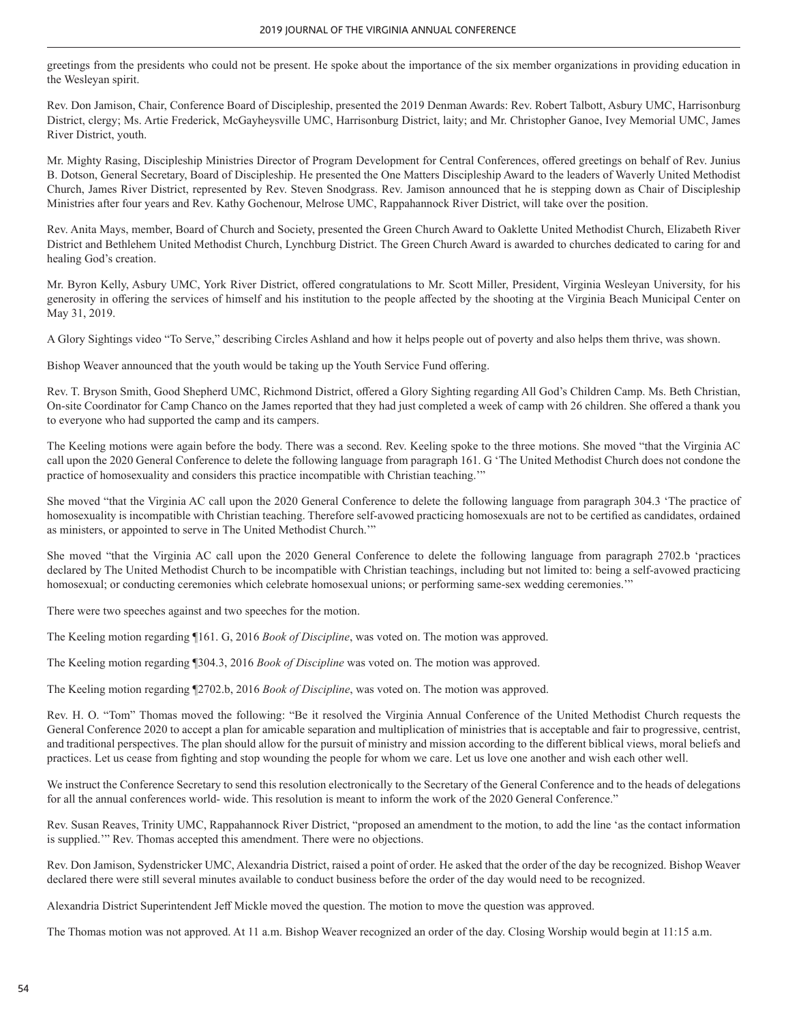greetings from the presidents who could not be present. He spoke about the importance of the six member organizations in providing education in the Wesleyan spirit.

Rev. Don Jamison, Chair, Conference Board of Discipleship, presented the 2019 Denman Awards: Rev. Robert Talbott, Asbury UMC, Harrisonburg District, clergy; Ms. Artie Frederick, McGayheysville UMC, Harrisonburg District, laity; and Mr. Christopher Ganoe, Ivey Memorial UMC, James River District, youth.

Mr. Mighty Rasing, Discipleship Ministries Director of Program Development for Central Conferences, offered greetings on behalf of Rev. Junius B. Dotson, General Secretary, Board of Discipleship. He presented the One Matters Discipleship Award to the leaders of Waverly United Methodist Church, James River District, represented by Rev. Steven Snodgrass. Rev. Jamison announced that he is stepping down as Chair of Discipleship Ministries after four years and Rev. Kathy Gochenour, Melrose UMC, Rappahannock River District, will take over the position.

Rev. Anita Mays, member, Board of Church and Society, presented the Green Church Award to Oaklette United Methodist Church, Elizabeth River District and Bethlehem United Methodist Church, Lynchburg District. The Green Church Award is awarded to churches dedicated to caring for and healing God's creation.

Mr. Byron Kelly, Asbury UMC, York River District, offered congratulations to Mr. Scott Miller, President, Virginia Wesleyan University, for his generosity in offering the services of himself and his institution to the people affected by the shooting at the Virginia Beach Municipal Center on May 31, 2019.

A Glory Sightings video "To Serve," describing Circles Ashland and how it helps people out of poverty and also helps them thrive, was shown.

Bishop Weaver announced that the youth would be taking up the Youth Service Fund offering.

Rev. T. Bryson Smith, Good Shepherd UMC, Richmond District, offered a Glory Sighting regarding All God's Children Camp. Ms. Beth Christian, On-site Coordinator for Camp Chanco on the James reported that they had just completed a week of camp with 26 children. She offered a thank you to everyone who had supported the camp and its campers.

The Keeling motions were again before the body. There was a second. Rev. Keeling spoke to the three motions. She moved "that the Virginia AC call upon the 2020 General Conference to delete the following language from paragraph 161. G 'The United Methodist Church does not condone the practice of homosexuality and considers this practice incompatible with Christian teaching.'"

She moved "that the Virginia AC call upon the 2020 General Conference to delete the following language from paragraph 304.3 'The practice of homosexuality is incompatible with Christian teaching. Therefore self-avowed practicing homosexuals are not to be certified as candidates, ordained as ministers, or appointed to serve in The United Methodist Church.'"

She moved "that the Virginia AC call upon the 2020 General Conference to delete the following language from paragraph 2702.b 'practices declared by The United Methodist Church to be incompatible with Christian teachings, including but not limited to: being a self-avowed practicing homosexual; or conducting ceremonies which celebrate homosexual unions; or performing same-sex wedding ceremonies.'"

There were two speeches against and two speeches for the motion.

The Keeling motion regarding ¶161. G, 2016 *Book of Discipline*, was voted on. The motion was approved.

The Keeling motion regarding ¶304.3, 2016 *Book of Discipline* was voted on. The motion was approved.

The Keeling motion regarding ¶2702.b, 2016 *Book of Discipline*, was voted on. The motion was approved.

Rev. H. O. "Tom" Thomas moved the following: "Be it resolved the Virginia Annual Conference of the United Methodist Church requests the General Conference 2020 to accept a plan for amicable separation and multiplication of ministries that is acceptable and fair to progressive, centrist, and traditional perspectives. The plan should allow for the pursuit of ministry and mission according to the different biblical views, moral beliefs and practices. Let us cease from fighting and stop wounding the people for whom we care. Let us love one another and wish each other well.

We instruct the Conference Secretary to send this resolution electronically to the Secretary of the General Conference and to the heads of delegations for all the annual conferences world- wide. This resolution is meant to inform the work of the 2020 General Conference."

Rev. Susan Reaves, Trinity UMC, Rappahannock River District, "proposed an amendment to the motion, to add the line 'as the contact information is supplied.'" Rev. Thomas accepted this amendment. There were no objections.

Rev. Don Jamison, Sydenstricker UMC, Alexandria District, raised a point of order. He asked that the order of the day be recognized. Bishop Weaver declared there were still several minutes available to conduct business before the order of the day would need to be recognized.

Alexandria District Superintendent Jeff Mickle moved the question. The motion to move the question was approved.

The Thomas motion was not approved. At 11 a.m. Bishop Weaver recognized an order of the day. Closing Worship would begin at 11:15 a.m.